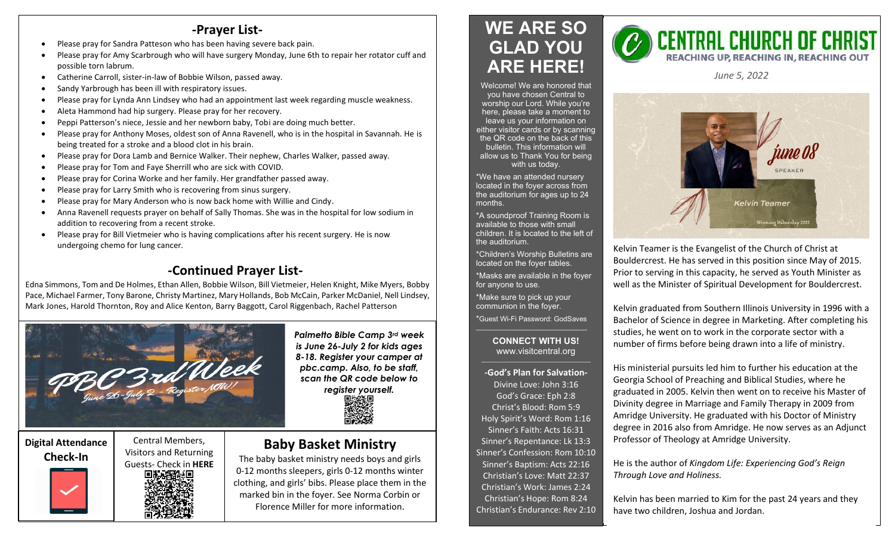## **-Prayer List-**

- Please pray for Sandra Patteson who has been having severe back pain.
- Please pray for Amy Scarbrough who will have surgery Monday, June 6th to repair her rotator cuff and possible torn labrum.
- Catherine Carroll, sister-in-law of Bobbie Wilson, passed away.
- Sandy Yarbrough has been ill with respiratory issues.
- Please pray for Lynda Ann Lindsey who had an appointment last week regarding muscle weakness.
- Aleta Hammond had hip surgery. Please pray for her recovery.
- Peppi Patterson's niece, Jessie and her newborn baby, Tobi are doing much better.
- Please pray for Anthony Moses, oldest son of Anna Ravenell, who is in the hospital in Savannah. He is being treated for a stroke and a blood clot in his brain.
- Please pray for Dora Lamb and Bernice Walker. Their nephew, Charles Walker, passed away.
- Please pray for Tom and Faye Sherrill who are sick with COVID.
- Please pray for Corina Worke and her family. Her grandfather passed away.
- Please pray for Larry Smith who is recovering from sinus surgery.
- Please pray for Mary Anderson who is now back home with Willie and Cindy.
- Anna Ravenell requests prayer on behalf of Sally Thomas. She was in the hospital for low sodium in addition to recovering from a recent stroke.
- Please pray for Bill Vietmeier who is having complications after his recent surgery. He is now undergoing chemo for lung cancer.

# **-Continued Prayer List-**

Edna Simmons, Tom and De Holmes, Ethan Allen, Bobbie Wilson, Bill Vietmeier, Helen Knight, Mike Myers, Bobby Pace, Michael Farmer, Tony Barone, Christy Martinez, Mary Hollands, Bob McCain, Parker McDaniel, Nell Lindsey, Mark Jones, Harold Thornton, Roy and Alice Kenton, Barry Baggott, Carol Riggenbach, Rachel Patterson



*Palmetto Bible Camp 3rd week is June 26-July 2 for kids ages 8-18. Register your camper at pbc.camp. Also, to be staff, scan the QR code below to register yourself.*



# **Digital Attendance**



Central Members, Visitors and Returning Guests- Check in **HERE**

## **Baby Basket Ministry**

The baby basket ministry needs boys and girls 0-12 months sleepers, girls 0-12 months winter clothing, and girls' bibs. Please place them in the marked bin in the foyer. See Norma Corbin or Florence Miller for more information.

# **WE ARE SO GLAD YOU ARE HERE!**



\*We have an attended nursery located in the foyer across from the auditorium for ages up to 24 months.

\*A soundproof Training Room is available to those with small children. It is located to the left of the auditorium.

\*Children's Worship Bulletins are located on the foyer tables.

\*Masks are available in the foyer for anyone to use.

\*Make sure to pick up your communion in the foyer.

\*Guest Wi-Fi Password: GodSaves \_\_\_\_\_\_\_\_\_\_\_\_\_\_\_\_\_\_\_\_\_\_\_\_\_\_\_\_\_\_

#### **CONNECT WITH US!** www.visitcentral.org

**-God's Plan for Salvation-**Divine Love: John 3:16 God's Grace: Eph 2:8 Christ's Blood: Rom 5:9 Holy Spirit's Word: Rom 1:16 Sinner's Faith: Acts 16:31 Sinner's Repentance: Lk 13:3 Sinner's Confession: Rom 10:10 Sinner's Baptism: Acts 22:16 Christian's Love: Matt 22:37 Christian's Work: James 2:24 Christian's Hope: Rom 8:24 Christian's Endurance: Rev 2:10



*June 5, 2022* 



Kelvin Teamer is the Evangelist of the Church of Christ at Bouldercrest. He has served in this position since May of 2015. Prior to serving in this capacity, he served as Youth Minister as well as the Minister of Spiritual Development for Bouldercrest.

Kelvin graduated from Southern Illinois University in 1996 with a Bachelor of Science in degree in Marketing. After completing his studies, he went on to work in the corporate sector with a number of firms before being drawn into a life of ministry.

His ministerial pursuits led him to further his education at the Georgia School of Preaching and Biblical Studies, where he graduated in 2005. Kelvin then went on to receive his Master of Divinity degree in Marriage and Family Therapy in 2009 from Amridge University. He graduated with his Doctor of Ministry degree in 2016 also from Amridge. He now serves as an Adjunct Professor of Theology at Amridge University.

He is the author of *Kingdom Life: Experiencing God's Reign Through Love and Holiness.*

Kelvin has been married to Kim for the past 24 years and they have two children, Joshua and Jordan.